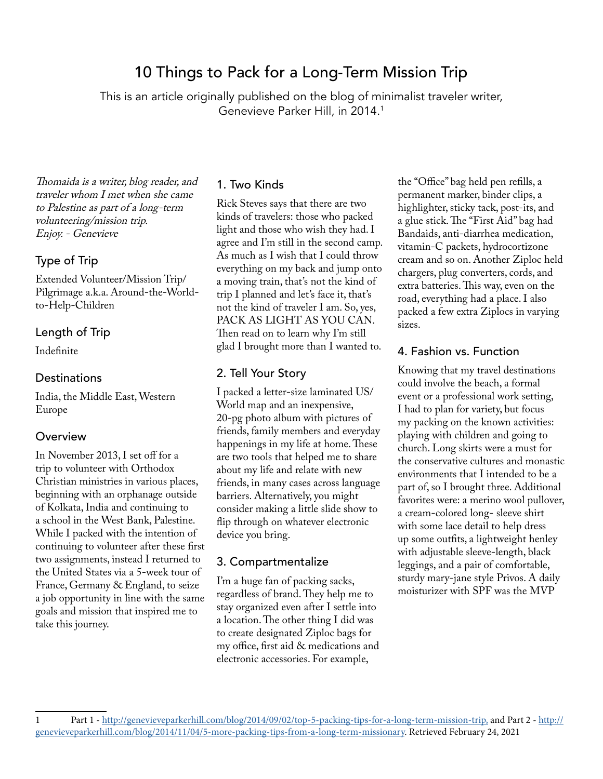# 10 Things to Pack for a Long-Term Mission Trip

This is an article originally published on the blog of minimalist traveler writer, Genevieve Parker Hill, in 2014.1

Thomaida is a writer, blog reader, and traveler whom I met when she came to Palestine as part of a long-term volunteering/mission trip. Enjoy. - Genevieve

#### Type of Trip

Extended Volunteer/Mission Trip/ Pilgrimage a.k.a. Around-the-Worldto-Help-Children

#### Length of Trip

Indefinite

#### **Destinations**

India, the Middle East, Western Europe

#### **Overview**

In November 2013, I set off for a trip to volunteer with Orthodox Christian ministries in various places, beginning with an orphanage outside of Kolkata, India and continuing to a school in the West Bank, Palestine. While I packed with the intention of continuing to volunteer after these first two assignments, instead I returned to the United States via a 5-week tour of France, Germany & England, to seize a job opportunity in line with the same goals and mission that inspired me to take this journey.

#### 1. Two Kinds

Rick Steves says that there are two kinds of travelers: those who packed light and those who wish they had. I agree and I'm still in the second camp. As much as I wish that I could throw everything on my back and jump onto a moving train, that's not the kind of trip I planned and let's face it, that's not the kind of traveler I am. So, yes, PACK AS LIGHT AS YOU CAN. Then read on to learn why I'm still glad I brought more than I wanted to.

#### 2. Tell Your Story

I packed a letter-size laminated US/ World map and an inexpensive, 20-pg photo album with pictures of friends, family members and everyday happenings in my life at home. These are two tools that helped me to share about my life and relate with new friends, in many cases across language barriers. Alternatively, you might consider making a little slide show to flip through on whatever electronic device you bring.

#### 3. Compartmentalize

I'm a huge fan of packing sacks, regardless of brand. They help me to stay organized even after I settle into a location. The other thing I did was to create designated Ziploc bags for my office, first aid & medications and electronic accessories. For example,

the "Office" bag held pen refills, a permanent marker, binder clips, a highlighter, sticky tack, post-its, and a glue stick. The "First Aid" bag had Bandaids, anti-diarrhea medication, vitamin-C packets, hydrocortizone cream and so on. Another Ziploc held chargers, plug converters, cords, and extra batteries. This way, even on the road, everything had a place. I also packed a few extra Ziplocs in varying sizes.

#### 4. Fashion vs. Function

Knowing that my travel destinations could involve the beach, a formal event or a professional work setting, I had to plan for variety, but focus my packing on the known activities: playing with children and going to church. Long skirts were a must for the conservative cultures and monastic environments that I intended to be a part of, so I brought three. Additional favorites were: a merino wool pullover, a cream-colored long- sleeve shirt with some lace detail to help dress up some outfits, a lightweight henley with adjustable sleeve-length, black leggings, and a pair of comfortable, sturdy mary-jane style Privos. A daily moisturizer with SPF was the MVP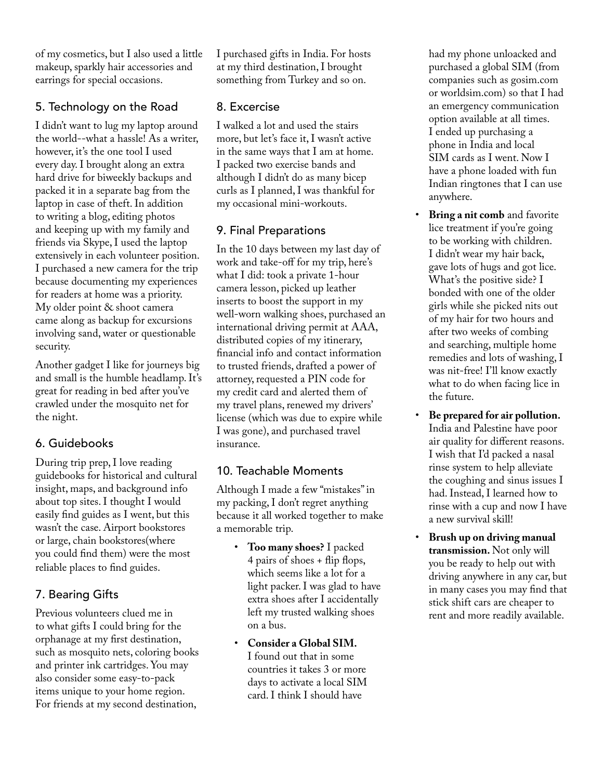of my cosmetics, but I also used a little makeup, sparkly hair accessories and earrings for special occasions.

# 5. Technology on the Road

I didn't want to lug my laptop around the world--what a hassle! As a writer, however, it's the one tool I used every day. I brought along an extra hard drive for biweekly backups and packed it in a separate bag from the laptop in case of theft. In addition to writing a blog, editing photos and keeping up with my family and friends via Skype, I used the laptop extensively in each volunteer position. I purchased a new camera for the trip because documenting my experiences for readers at home was a priority. My older point & shoot camera came along as backup for excursions involving sand, water or questionable security.

Another gadget I like for journeys big and small is the humble headlamp. It's great for reading in bed after you've crawled under the mosquito net for the night.

# 6. Guidebooks

During trip prep, I love reading guidebooks for historical and cultural insight, maps, and background info about top sites. I thought I would easily find guides as I went, but this wasn't the case. Airport bookstores or large, chain bookstores(where you could find them) were the most reliable places to find guides.

# 7. Bearing Gifts

Previous volunteers clued me in to what gifts I could bring for the orphanage at my first destination, such as mosquito nets, coloring books and printer ink cartridges. You may also consider some easy-to-pack items unique to your home region. For friends at my second destination,

I purchased gifts in India. For hosts at my third destination, I brought something from Turkey and so on.

# 8. Excercise

I walked a lot and used the stairs more, but let's face it, I wasn't active in the same ways that I am at home. I packed two exercise bands and although I didn't do as many bicep curls as I planned, I was thankful for my occasional mini-workouts.

# 9. Final Preparations

In the 10 days between my last day of work and take-off for my trip, here's what I did: took a private 1-hour camera lesson, picked up leather inserts to boost the support in my well-worn walking shoes, purchased an international driving permit at AAA, distributed copies of my itinerary, financial info and contact information to trusted friends, drafted a power of attorney, requested a PIN code for my credit card and alerted them of my travel plans, renewed my drivers' license (which was due to expire while I was gone), and purchased travel insurance.

# 10. Teachable Moments

Although I made a few "mistakes" in my packing, I don't regret anything because it all worked together to make a memorable trip.

- **Too many shoes?** I packed 4 pairs of shoes + flip flops, which seems like a lot for a light packer. I was glad to have extra shoes after I accidentally left my trusted walking shoes on a bus.
- **Consider a Global SIM.** I found out that in some countries it takes 3 or more days to activate a local SIM card. I think I should have

had my phone unloacked and purchased a global SIM (from companies such as gosim.com or worldsim.com) so that I had an emergency communication option available at all times. I ended up purchasing a phone in India and local SIM cards as I went. Now I have a phone loaded with fun Indian ringtones that I can use anywhere.

- **Bring a nit comb** and favorite lice treatment if you're going to be working with children. I didn't wear my hair back, gave lots of hugs and got lice. What's the positive side? I bonded with one of the older girls while she picked nits out of my hair for two hours and after two weeks of combing and searching, multiple home remedies and lots of washing, I was nit-free! I'll know exactly what to do when facing lice in the future.
- **Be prepared for air pollution.** India and Palestine have poor air quality for different reasons. I wish that I'd packed a nasal rinse system to help alleviate the coughing and sinus issues I had. Instead, I learned how to rinse with a cup and now I have a new survival skill!
- **Brush up on driving manual transmission.** Not only will you be ready to help out with driving anywhere in any car, but in many cases you may find that stick shift cars are cheaper to rent and more readily available.